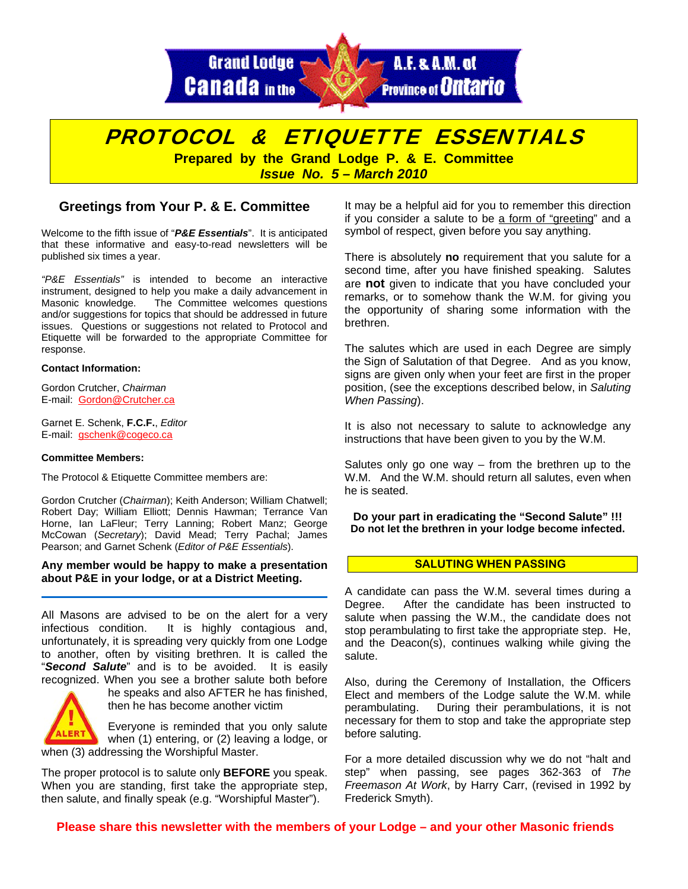

# PROTOCOL & ETIQUETTE ESSENTIALS

**Prepared by the Grand Lodge P. & E. Committee**  *Issue No. 5 – March 2010* 

# **Greetings from Your P. & E. Committee**

Welcome to the fifth issue of "*P&E Essentials*". It is anticipated that these informative and easy-to-read newsletters will be published six times a year.

*"P&E Essentials"* is intended to become an interactive instrument, designed to help you make a daily advancement in Masonic knowledge. The Committee welcomes questions and/or suggestions for topics that should be addressed in future issues. Questions or suggestions not related to Protocol and Etiquette will be forwarded to the appropriate Committee for response.

#### **Contact Information:**

Gordon Crutcher, *Chairman* E-mail: Gordon@Crutcher.ca

Garnet E. Schenk, **F.C.F.**, *Editor*  E-mail: gschenk@cogeco.ca

#### **Committee Members:**

The Protocol & Etiquette Committee members are:

Gordon Crutcher (*Chairman*); Keith Anderson; William Chatwell; Robert Day; William Elliott; Dennis Hawman; Terrance Van Horne, Ian LaFleur; Terry Lanning; Robert Manz; George McCowan (*Secretary*); David Mead; Terry Pachal; James Pearson; and Garnet Schenk (*Editor of P&E Essentials*).

### **Any member would be happy to make a presentation about P&E in your lodge, or at a District Meeting.**

All Masons are advised to be on the alert for a very infectious condition. It is highly contagious and, unfortunately, it is spreading very quickly from one Lodge to another, often by visiting brethren. It is called the "*Second Salute*" and is to be avoided. It is easily recognized. When you see a brother salute both before



he speaks and also AFTER he has finished, then he has become another victim

Everyone is reminded that you only salute when (1) entering, or (2) leaving a lodge, or when (3) addressing the Worshipful Master.

The proper protocol is to salute only **BEFORE** you speak. When you are standing, first take the appropriate step, then salute, and finally speak (e.g. "Worshipful Master").

It may be a helpful aid for you to remember this direction if you consider a salute to be a form of "greeting" and a symbol of respect, given before you say anything.

There is absolutely **no** requirement that you salute for a second time, after you have finished speaking. Salutes are **not** given to indicate that you have concluded your remarks, or to somehow thank the W.M. for giving you the opportunity of sharing some information with the brethren.

The salutes which are used in each Degree are simply the Sign of Salutation of that Degree. And as you know, signs are given only when your feet are first in the proper position, (see the exceptions described below, in *Saluting When Passing*).

It is also not necessary to salute to acknowledge any instructions that have been given to you by the W.M.

Salutes only go one way  $-$  from the brethren up to the W.M. And the W.M. should return all salutes, even when he is seated.

**Do your part in eradicating the "Second Salute" !!! Do not let the brethren in your lodge become infected.** 

### **SALUTING WHEN PASSING**

A candidate can pass the W.M. several times during a Degree. After the candidate has been instructed to salute when passing the W.M., the candidate does not stop perambulating to first take the appropriate step. He, and the Deacon(s), continues walking while giving the salute.

Also, during the Ceremony of Installation, the Officers Elect and members of the Lodge salute the W.M. while perambulating. During their perambulations, it is not necessary for them to stop and take the appropriate step before saluting.

For a more detailed discussion why we do not "halt and step" when passing, see pages 362-363 of *The Freemason At Work*, by Harry Carr, (revised in 1992 by Frederick Smyth).

# **Please share this newsletter with the members of your Lodge – and your other Masonic friends**